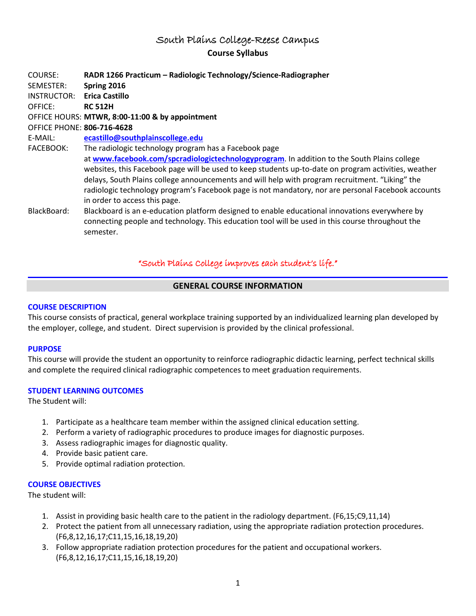# South Plains College-Reese Campus **Course Syllabus**

| COURSE:                    | RADR 1266 Practicum - Radiologic Technology/Science-Radiographer                                                                    |
|----------------------------|-------------------------------------------------------------------------------------------------------------------------------------|
| SEMESTER:                  | Spring 2016                                                                                                                         |
| INSTRUCTOR:                | <b>Erica Castillo</b>                                                                                                               |
| OFFICE:                    | <b>RC 512H</b>                                                                                                                      |
|                            | OFFICE HOURS: MTWR, 8:00-11:00 & by appointment                                                                                     |
| OFFICE PHONE: 806-716-4628 |                                                                                                                                     |
| E-MAIL:                    | ecastillo@southplainscollege.edu                                                                                                    |
| FACEBOOK:                  | The radiologic technology program has a Facebook page                                                                               |
|                            | at www.facebook.com/spcradiologictechnologyprogram. In addition to the South Plains college                                         |
|                            | websites, this Facebook page will be used to keep students up-to-date on program activities, weather                                |
|                            | delays, South Plains college announcements and will help with program recruitment. "Liking" the                                     |
|                            | radiologic technology program's Facebook page is not mandatory, nor are personal Facebook accounts<br>in order to access this page. |
| BlackBoard:                | Blackboard is an e-education platform designed to enable educational innovations everywhere by                                      |
|                            | connecting people and technology. This education tool will be used in this course throughout the                                    |
|                            | semester.                                                                                                                           |

# "South Plains College improves each student's life."

### **GENERAL COURSE INFORMATION**

#### **COURSE DESCRIPTION**

This course consists of practical, general workplace training supported by an individualized learning plan developed by the employer, college, and student. Direct supervision is provided by the clinical professional.

#### **PURPOSE**

This course will provide the student an opportunity to reinforce radiographic didactic learning, perfect technical skills and complete the required clinical radiographic competences to meet graduation requirements.

### **STUDENT LEARNING OUTCOMES**

The Student will:

- 1. Participate as a healthcare team member within the assigned clinical education setting.
- 2. Perform a variety of radiographic procedures to produce images for diagnostic purposes.
- 3. Assess radiographic images for diagnostic quality.
- 4. Provide basic patient care.
- 5. Provide optimal radiation protection.

### **COURSE OBJECTIVES**

The student will:

- 1. Assist in providing basic health care to the patient in the radiology department. (F6,15;C9,11,14)
- 2. Protect the patient from all unnecessary radiation, using the appropriate radiation protection procedures. (F6,8,12,16,17;C11,15,16,18,19,20)
- 3. Follow appropriate radiation protection procedures for the patient and occupational workers. (F6,8,12,16,17;C11,15,16,18,19,20)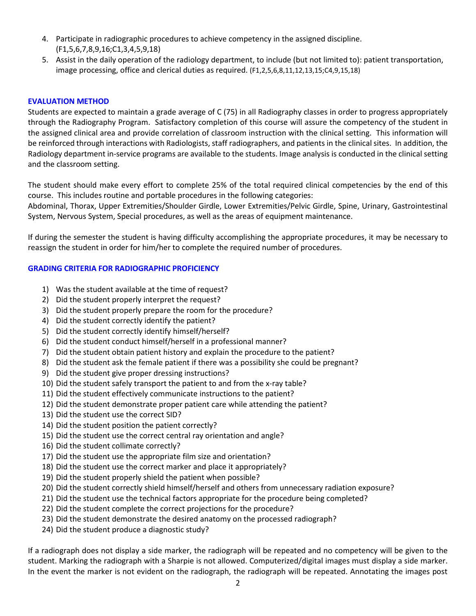- 4. Participate in radiographic procedures to achieve competency in the assigned discipline. (F1,5,6,7,8,9,16;C1,3,4,5,9,18)
- 5. Assist in the daily operation of the radiology department, to include (but not limited to): patient transportation, image processing, office and clerical duties as required. (F1,2,5,6,8,11,12,13,15;C4,9,15,18)

#### **EVALUATION METHOD**

Students are expected to maintain a grade average of C (75) in all Radiography classes in order to progress appropriately through the Radiography Program. Satisfactory completion of this course will assure the competency of the student in the assigned clinical area and provide correlation of classroom instruction with the clinical setting. This information will be reinforced through interactions with Radiologists, staff radiographers, and patients in the clinical sites. In addition, the Radiology department in-service programs are available to the students. Image analysis is conducted in the clinical setting and the classroom setting.

The student should make every effort to complete 25% of the total required clinical competencies by the end of this course. This includes routine and portable procedures in the following categories:

Abdominal, Thorax, Upper Extremities/Shoulder Girdle, Lower Extremities/Pelvic Girdle, Spine, Urinary, Gastrointestinal System, Nervous System, Special procedures, as well as the areas of equipment maintenance.

If during the semester the student is having difficulty accomplishing the appropriate procedures, it may be necessary to reassign the student in order for him/her to complete the required number of procedures.

### **GRADING CRITERIA FOR RADIOGRAPHIC PROFICIENCY**

- 1) Was the student available at the time of request?
- 2) Did the student properly interpret the request?
- 3) Did the student properly prepare the room for the procedure?
- 4) Did the student correctly identify the patient?
- 5) Did the student correctly identify himself/herself?
- 6) Did the student conduct himself/herself in a professional manner?
- 7) Did the student obtain patient history and explain the procedure to the patient?
- 8) Did the student ask the female patient if there was a possibility she could be pregnant?
- 9) Did the student give proper dressing instructions?
- 10) Did the student safely transport the patient to and from the x-ray table?
- 11) Did the student effectively communicate instructions to the patient?
- 12) Did the student demonstrate proper patient care while attending the patient?
- 13) Did the student use the correct SID?
- 14) Did the student position the patient correctly?
- 15) Did the student use the correct central ray orientation and angle?
- 16) Did the student collimate correctly?
- 17) Did the student use the appropriate film size and orientation?
- 18) Did the student use the correct marker and place it appropriately?
- 19) Did the student properly shield the patient when possible?
- 20) Did the student correctly shield himself/herself and others from unnecessary radiation exposure?
- 21) Did the student use the technical factors appropriate for the procedure being completed?
- 22) Did the student complete the correct projections for the procedure?
- 23) Did the student demonstrate the desired anatomy on the processed radiograph?
- 24) Did the student produce a diagnostic study?

If a radiograph does not display a side marker, the radiograph will be repeated and no competency will be given to the student. Marking the radiograph with a Sharpie is not allowed. Computerized/digital images must display a side marker. In the event the marker is not evident on the radiograph, the radiograph will be repeated. Annotating the images post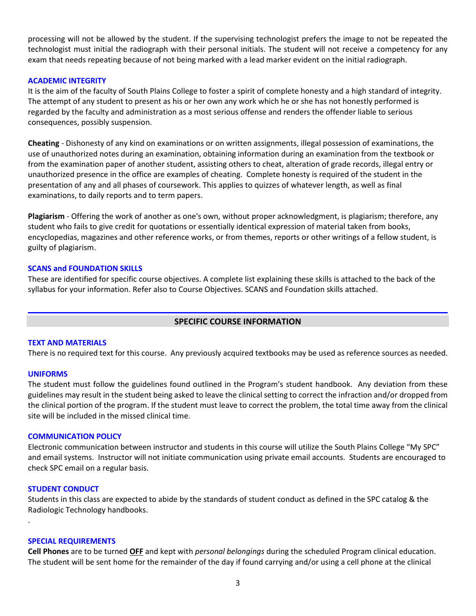processing will not be allowed by the student. If the supervising technologist prefers the image to not be repeated the technologist must initial the radiograph with their personal initials. The student will not receive a competency for any exam that needs repeating because of not being marked with a lead marker evident on the initial radiograph.

#### **ACADEMIC INTEGRITY**

It is the aim of the faculty of South Plains College to foster a spirit of complete honesty and a high standard of integrity. The attempt of any student to present as his or her own any work which he or she has not honestly performed is regarded by the faculty and administration as a most serious offense and renders the offender liable to serious consequences, possibly suspension.

**Cheating** - Dishonesty of any kind on examinations or on written assignments, illegal possession of examinations, the use of unauthorized notes during an examination, obtaining information during an examination from the textbook or from the examination paper of another student, assisting others to cheat, alteration of grade records, illegal entry or unauthorized presence in the office are examples of cheating. Complete honesty is required of the student in the presentation of any and all phases of coursework. This applies to quizzes of whatever length, as well as final examinations, to daily reports and to term papers.

**Plagiarism** - Offering the work of another as one's own, without proper acknowledgment, is plagiarism; therefore, any student who fails to give credit for quotations or essentially identical expression of material taken from books, encyclopedias, magazines and other reference works, or from themes, reports or other writings of a fellow student, is guilty of plagiarism.

#### **SCANS and FOUNDATION SKILLS**

These are identified for specific course objectives. A complete list explaining these skills is attached to the back of the syllabus for your information. Refer also to Course Objectives. SCANS and Foundation skills attached.

### **SPECIFIC COURSE INFORMATION**

#### **TEXT AND MATERIALS**

There is no required text for this course. Any previously acquired textbooks may be used as reference sources as needed.

#### **UNIFORMS**

The student must follow the guidelines found outlined in the Program's student handbook. Any deviation from these guidelines may result in the student being asked to leave the clinical setting to correct the infraction and/or dropped from the clinical portion of the program. If the student must leave to correct the problem, the total time away from the clinical site will be included in the missed clinical time.

#### **COMMUNICATION POLICY**

Electronic communication between instructor and students in this course will utilize the South Plains College "My SPC" and email systems. Instructor will not initiate communication using private email accounts. Students are encouraged to check SPC email on a regular basis.

#### **STUDENT CONDUCT**

.

Students in this class are expected to abide by the standards of student conduct as defined in the SPC catalog & the Radiologic Technology handbooks.

#### **SPECIAL REQUIREMENTS**

**Cell Phones** are to be turned **OFF** and kept with *personal belongings* during the scheduled Program clinical education. The student will be sent home for the remainder of the day if found carrying and/or using a cell phone at the clinical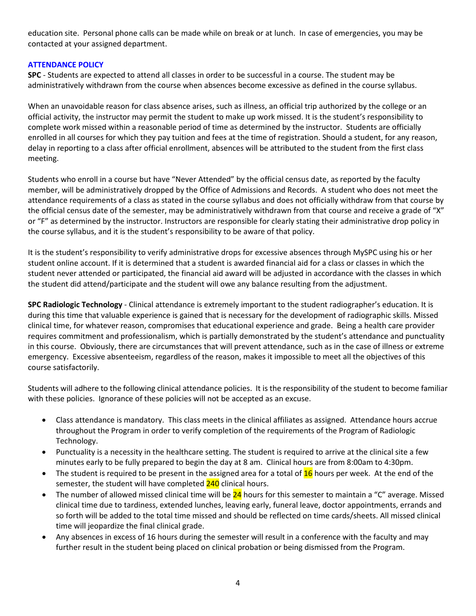education site. Personal phone calls can be made while on break or at lunch. In case of emergencies, you may be contacted at your assigned department.

### **ATTENDANCE POLICY**

**SPC** - Students are expected to attend all classes in order to be successful in a course. The student may be administratively withdrawn from the course when absences become excessive as defined in the course syllabus.

When an unavoidable reason for class absence arises, such as illness, an official trip authorized by the college or an official activity, the instructor may permit the student to make up work missed. It is the student's responsibility to complete work missed within a reasonable period of time as determined by the instructor. Students are officially enrolled in all courses for which they pay tuition and fees at the time of registration. Should a student, for any reason, delay in reporting to a class after official enrollment, absences will be attributed to the student from the first class meeting.

Students who enroll in a course but have "Never Attended" by the official census date, as reported by the faculty member, will be administratively dropped by the Office of Admissions and Records. A student who does not meet the attendance requirements of a class as stated in the course syllabus and does not officially withdraw from that course by the official census date of the semester, may be administratively withdrawn from that course and receive a grade of "X" or "F" as determined by the instructor. Instructors are responsible for clearly stating their administrative drop policy in the course syllabus, and it is the student's responsibility to be aware of that policy.

It is the student's responsibility to verify administrative drops for excessive absences through MySPC using his or her student online account. If it is determined that a student is awarded financial aid for a class or classes in which the student never attended or participated, the financial aid award will be adjusted in accordance with the classes in which the student did attend/participate and the student will owe any balance resulting from the adjustment.

**SPC Radiologic Technology** - Clinical attendance is extremely important to the student radiographer's education. It is during this time that valuable experience is gained that is necessary for the development of radiographic skills. Missed clinical time, for whatever reason, compromises that educational experience and grade. Being a health care provider requires commitment and professionalism, which is partially demonstrated by the student's attendance and punctuality in this course. Obviously, there are circumstances that will prevent attendance, such as in the case of illness or extreme emergency. Excessive absenteeism, regardless of the reason, makes it impossible to meet all the objectives of this course satisfactorily.

Students will adhere to the following clinical attendance policies. It is the responsibility of the student to become familiar with these policies. Ignorance of these policies will not be accepted as an excuse.

- Class attendance is mandatory. This class meets in the clinical affiliates as assigned. Attendance hours accrue throughout the Program in order to verify completion of the requirements of the Program of Radiologic Technology.
- Punctuality is a necessity in the healthcare setting. The student is required to arrive at the clinical site a few minutes early to be fully prepared to begin the day at 8 am. Clinical hours are from 8:00am to 4:30pm.
- The student is required to be present in the assigned area for a total of  $16$  hours per week. At the end of the semester, the student will have completed 240 clinical hours.
- The number of allowed missed clinical time will be  $24$  hours for this semester to maintain a "C" average. Missed clinical time due to tardiness, extended lunches, leaving early, funeral leave, doctor appointments, errands and so forth will be added to the total time missed and should be reflected on time cards/sheets. All missed clinical time will jeopardize the final clinical grade.
- Any absences in excess of 16 hours during the semester will result in a conference with the faculty and may further result in the student being placed on clinical probation or being dismissed from the Program.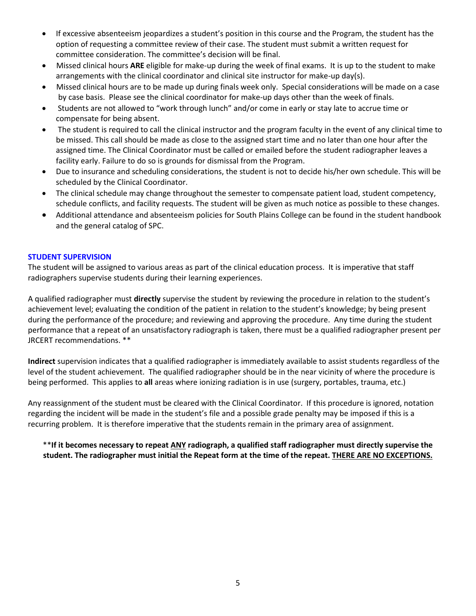- If excessive absenteeism jeopardizes a student's position in this course and the Program, the student has the option of requesting a committee review of their case. The student must submit a written request for committee consideration. The committee's decision will be final.
- Missed clinical hours **ARE** eligible for make-up during the week of final exams. It is up to the student to make arrangements with the clinical coordinator and clinical site instructor for make-up day(s).
- Missed clinical hours are to be made up during finals week only. Special considerations will be made on a case by case basis. Please see the clinical coordinator for make-up days other than the week of finals.
- Students are not allowed to "work through lunch" and/or come in early or stay late to accrue time or compensate for being absent.
- The student is required to call the clinical instructor and the program faculty in the event of any clinical time to be missed. This call should be made as close to the assigned start time and no later than one hour after the assigned time. The Clinical Coordinator must be called or emailed before the student radiographer leaves a facility early. Failure to do so is grounds for dismissal from the Program.
- Due to insurance and scheduling considerations, the student is not to decide his/her own schedule. This will be scheduled by the Clinical Coordinator.
- The clinical schedule may change throughout the semester to compensate patient load, student competency, schedule conflicts, and facility requests. The student will be given as much notice as possible to these changes.
- Additional attendance and absenteeism policies for South Plains College can be found in the student handbook and the general catalog of SPC.

### **STUDENT SUPERVISION**

The student will be assigned to various areas as part of the clinical education process. It is imperative that staff radiographers supervise students during their learning experiences.

A qualified radiographer must **directly** supervise the student by reviewing the procedure in relation to the student's achievement level; evaluating the condition of the patient in relation to the student's knowledge; by being present during the performance of the procedure; and reviewing and approving the procedure. Any time during the student performance that a repeat of an unsatisfactory radiograph is taken, there must be a qualified radiographer present per JRCERT recommendations. \*\*

**Indirect** supervision indicates that a qualified radiographer is immediately available to assist students regardless of the level of the student achievement. The qualified radiographer should be in the near vicinity of where the procedure is being performed. This applies to **all** areas where ionizing radiation is in use (surgery, portables, trauma, etc.)

Any reassignment of the student must be cleared with the Clinical Coordinator. If this procedure is ignored, notation regarding the incident will be made in the student's file and a possible grade penalty may be imposed if this is a recurring problem. It is therefore imperative that the students remain in the primary area of assignment.

### \*\***If it becomes necessary to repeat ANY radiograph, a qualified staff radiographer must directly supervise the student. The radiographer must initial the Repeat form at the time of the repeat. THERE ARE NO EXCEPTIONS.**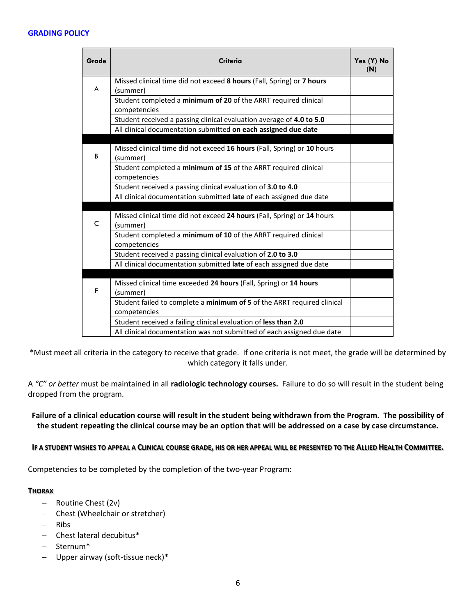#### **GRADING POLICY**

| Grade | Criteria                                                                                                                               | Yes (Y) No<br>(N) |
|-------|----------------------------------------------------------------------------------------------------------------------------------------|-------------------|
| A     | Missed clinical time did not exceed 8 hours (Fall, Spring) or 7 hours<br>(summer)                                                      |                   |
|       | Student completed a minimum of 20 of the ARRT required clinical<br>competencies                                                        |                   |
|       | Student received a passing clinical evaluation average of 4.0 to 5.0<br>All clinical documentation submitted on each assigned due date |                   |
| B     | Missed clinical time did not exceed 16 hours (Fall, Spring) or 10 hours<br>(summer)                                                    |                   |
|       | Student completed a minimum of 15 of the ARRT required clinical<br>competencies                                                        |                   |
|       | Student received a passing clinical evaluation of 3.0 to 4.0                                                                           |                   |
|       | All clinical documentation submitted late of each assigned due date                                                                    |                   |
| C     | Missed clinical time did not exceed 24 hours (Fall, Spring) or 14 hours<br>(summer)                                                    |                   |
|       | Student completed a minimum of 10 of the ARRT required clinical<br>competencies                                                        |                   |
|       | Student received a passing clinical evaluation of 2.0 to 3.0                                                                           |                   |
|       | All clinical documentation submitted late of each assigned due date                                                                    |                   |
| F     | Missed clinical time exceeded 24 hours (Fall, Spring) or 14 hours<br>(summer)                                                          |                   |
|       | Student failed to complete a minimum of 5 of the ARRT required clinical<br>competencies                                                |                   |
|       | Student received a failing clinical evaluation of less than 2.0                                                                        |                   |
|       | All clinical documentation was not submitted of each assigned due date                                                                 |                   |

\*Must meet all criteria in the category to receive that grade. If one criteria is not meet, the grade will be determined by which category it falls under.

A *"C" or better* must be maintained in all **radiologic technology courses.** Failure to do so will result in the student being dropped from the program.

### **Failure of a clinical education course will result in the student being withdrawn from the Program. The possibility of the student repeating the clinical course may be an option that will be addressed on a case by case circumstance.**

### **IF A STUDENT WISHES TO APPEAL A CLINICAL COURSE GRADE, HIS OR HER APPEAL WILL BE PRESENTED TO THE ALLIED HEALTH COMMITTEE.**

Competencies to be completed by the completion of the two-year Program:

#### **THORAX**

- − Routine Chest (2v)
- − Chest (Wheelchair or stretcher)
- − Ribs
- − Chest lateral decubitus\*
- − Sternum\*
- − Upper airway (soft-tissue neck)\*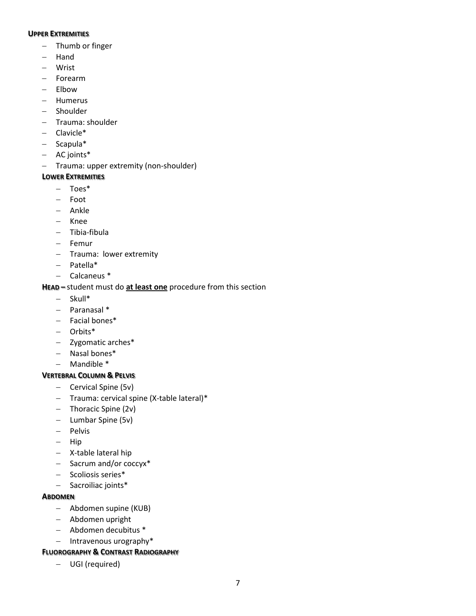#### **UPPER EXTREMITIES**

- − Thumb or finger
- − Hand
- − Wrist
- − Forearm
- − Elbow
- − Humerus
- − Shoulder
- − Trauma: shoulder
- − Clavicle\*
- − Scapula\*
- − AC joints\*
- − Trauma: upper extremity (non-shoulder)

### **LOWER EXTREMITIES**

- − Toes\*
- − Foot
- − Ankle
- − Knee
- − Tibia-fibula
- − Femur
- − Trauma: lower extremity
- − Patella\*
- − Calcaneus \*

# **HEAD –** student must do **at least one** procedure from this section

- − Skull\*
- − Paranasal \*
- − Facial bones\*
- − Orbits\*
- − Zygomatic arches\*
- − Nasal bones\*
- − Mandible \*

### **VERTEBRAL COLUMN & PELVIS**

- − Cervical Spine (5v)
- − Trauma: cervical spine (X-table lateral)\*
- − Thoracic Spine (2v)
- − Lumbar Spine (5v)
- − Pelvis
- − Hip
- − X-table lateral hip
- − Sacrum and/or coccyx\*
- − Scoliosis series\*
- − Sacroiliac joints\*

### **ABDOMEN**

- − Abdomen supine (KUB)
- − Abdomen upright
- − Abdomen decubitus \*
- − Intravenous urography\*

### **FLUOROGRAPHY & CONTRAST RADIOGRAPHY**

− UGI (required)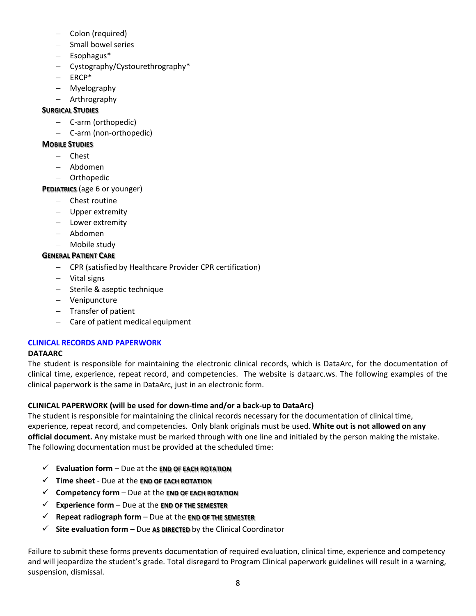- − Colon (required)
- − Small bowel series
- − Esophagus\*
- − Cystography/Cystourethrography\*
- − ERCP\*
- − Myelography
- − Arthrography

# **SURGICAL STUDIES**

- − C-arm (orthopedic)
- − C-arm (non-orthopedic)

# **MOBILE STUDIES**

- − Chest
- − Abdomen
- − Orthopedic

# **PEDIATRICS** (age 6 or younger)

- − Chest routine
- − Upper extremity
- − Lower extremity
- − Abdomen
- − Mobile study

# **GENERAL PATIENT CARE**

- − CPR (satisfied by Healthcare Provider CPR certification)
- − Vital signs
- − Sterile & aseptic technique
- − Venipuncture
- − Transfer of patient
- − Care of patient medical equipment

# **CLINICAL RECORDS AND PAPERWORK**

# **DATAARC**

The student is responsible for maintaining the electronic clinical records, which is DataArc, for the documentation of clinical time, experience, repeat record, and competencies. The website is dataarc.ws. The following examples of the clinical paperwork is the same in DataArc, just in an electronic form.

# **CLINICAL PAPERWORK (will be used for down-time and/or a back-up to DataArc)**

The student is responsible for maintaining the clinical records necessary for the documentation of clinical time, experience, repeat record, and competencies. Only blank originals must be used. **White out is not allowed on any official document.** Any mistake must be marked through with one line and initialed by the person making the mistake. The following documentation must be provided at the scheduled time:

- **Evaluation form**  Due at the **END OF EACH ROTATION**
- **Time sheet**  Due at the **END OF EACH ROTATION**
- **Competency form** Due at the **END OF EACH ROTATION**
- **Experience form** Due at the **END OF THE SEMESTER**
- **Repeat radiograph form**  Due at the **END OF THE SEMESTER**
- **Site evaluation form**  Due **AS DIRECTED** by the Clinical Coordinator

Failure to submit these forms prevents documentation of required evaluation, clinical time, experience and competency and will jeopardize the student's grade. Total disregard to Program Clinical paperwork guidelines will result in a warning, suspension, dismissal.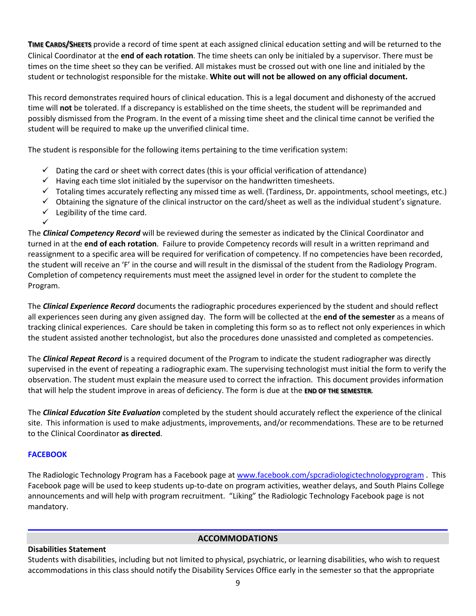**TIME CARDS/SHEETS** provide a record of time spent at each assigned clinical education setting and will be returned to the Clinical Coordinator at the **end of each rotation**. The time sheets can only be initialed by a supervisor. There must be times on the time sheet so they can be verified. All mistakes must be crossed out with one line and initialed by the student or technologist responsible for the mistake. **White out will not be allowed on any official document.**

This record demonstrates required hours of clinical education. This is a legal document and dishonesty of the accrued time will **not** be tolerated. If a discrepancy is established on the time sheets, the student will be reprimanded and possibly dismissed from the Program. In the event of a missing time sheet and the clinical time cannot be verified the student will be required to make up the unverified clinical time.

The student is responsible for the following items pertaining to the time verification system:

- $\checkmark$  Dating the card or sheet with correct dates (this is your official verification of attendance)
- $\checkmark$  Having each time slot initialed by the supervisor on the handwritten timesheets.
- $\checkmark$  Totaling times accurately reflecting any missed time as well. (Tardiness, Dr. appointments, school meetings, etc.)
- $\checkmark$  Obtaining the signature of the clinical instructor on the card/sheet as well as the individual student's signature.
- $\checkmark$  Legibility of the time card.

The *Clinical Competency Record* will be reviewed during the semester as indicated by the Clinical Coordinator and turned in at the **end of each rotation**. Failure to provide Competency records will result in a written reprimand and reassignment to a specific area will be required for verification of competency. If no competencies have been recorded, the student will receive an 'F' in the course and will result in the dismissal of the student from the Radiology Program. Completion of competency requirements must meet the assigned level in order for the student to complete the Program.

The *Clinical Experience Record* documents the radiographic procedures experienced by the student and should reflect all experiences seen during any given assigned day. The form will be collected at the **end of the semester** as a means of tracking clinical experiences. Care should be taken in completing this form so as to reflect not only experiences in which the student assisted another technologist, but also the procedures done unassisted and completed as competencies.

The *Clinical Repeat Record* is a required document of the Program to indicate the student radiographer was directly supervised in the event of repeating a radiographic exam. The supervising technologist must initial the form to verify the observation. The student must explain the measure used to correct the infraction. This document provides information that will help the student improve in areas of deficiency. The form is due at the **END OF THE SEMESTER**.

The *Clinical Education Site Evaluation* completed by the student should accurately reflect the experience of the clinical site. This information is used to make adjustments, improvements, and/or recommendations. These are to be returned to the Clinical Coordinator **as directed**.

### **FACEBOOK**

✓

The Radiologic Technology Program has a Facebook page at [www.facebook.com/spcradiologictechnologyprogram](http://www.facebook.com/spcradiologictechnologyprogram) . This Facebook page will be used to keep students up-to-date on program activities, weather delays, and South Plains College announcements and will help with program recruitment. "Liking" the Radiologic Technology Facebook page is not mandatory.

### **ACCOMMODATIONS**

#### **Disabilities Statement**

Students with disabilities, including but not limited to physical, psychiatric, or learning disabilities, who wish to request accommodations in this class should notify the Disability Services Office early in the semester so that the appropriate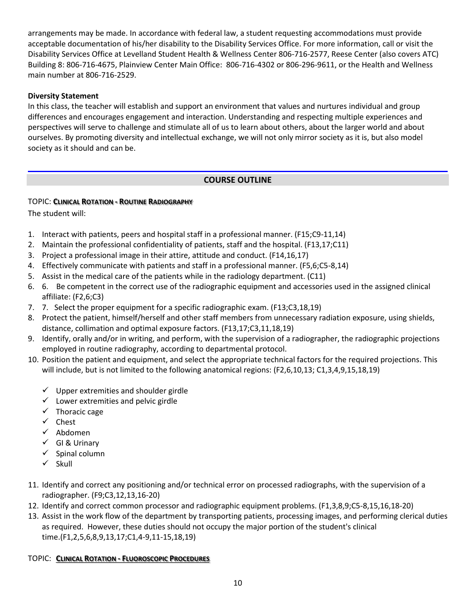arrangements may be made. In accordance with federal law, a student requesting accommodations must provide acceptable documentation of his/her disability to the Disability Services Office. For more information, call or visit the Disability Services Office at Levelland Student Health & Wellness Center 806-716-2577, Reese Center (also covers ATC) Building 8: 806-716-4675, Plainview Center Main Office: 806-716-4302 or 806-296-9611, or the Health and Wellness main number at 806-716-2529.

### **Diversity Statement**

In this class, the teacher will establish and support an environment that values and nurtures individual and group differences and encourages engagement and interaction. Understanding and respecting multiple experiences and perspectives will serve to challenge and stimulate all of us to learn about others, about the larger world and about ourselves. By promoting diversity and intellectual exchange, we will not only mirror society as it is, but also model society as it should and can be.

# **COURSE OUTLINE**

# TOPIC: **CLINICAL ROTATION - ROUTINE RADIOGRAPHY**

The student will:

- 1. Interact with patients, peers and hospital staff in a professional manner. (F15;C9-11,14)
- 2. Maintain the professional confidentiality of patients, staff and the hospital. (F13,17;C11)
- 3. Project a professional image in their attire, attitude and conduct. (F14,16,17)
- 4. Effectively communicate with patients and staff in a professional manner. (F5,6;C5-8,14)
- 5. Assist in the medical care of the patients while in the radiology department. (C11)
- 6. 6. Be competent in the correct use of the radiographic equipment and accessories used in the assigned clinical affiliate: (F2,6;C3)
- 7. 7. Select the proper equipment for a specific radiographic exam. (F13;C3,18,19)
- 8. Protect the patient, himself/herself and other staff members from unnecessary radiation exposure, using shields, distance, collimation and optimal exposure factors. (F13,17;C3,11,18,19)
- 9. Identify, orally and/or in writing, and perform, with the supervision of a radiographer, the radiographic projections employed in routine radiography, according to departmental protocol.
- 10. Position the patient and equipment, and select the appropriate technical factors for the required projections. This will include, but is not limited to the following anatomical regions: (F2,6,10,13; C1,3,4,9,15,18,19)
	- $\checkmark$  Upper extremities and shoulder girdle
	- $\checkmark$  Lower extremities and pelvic girdle
	- $\checkmark$  Thoracic cage
	- $\checkmark$  Chest
	- $\checkmark$  Abdomen
	- $\checkmark$  GI & Urinary
	- $\checkmark$  Spinal column
	- $\checkmark$  Skull
- 11. Identify and correct any positioning and/or technical error on processed radiographs, with the supervision of a radiographer. (F9;C3,12,13,16-20)
- 12. Identify and correct common processor and radiographic equipment problems. (F1,3,8,9;C5-8,15,16,18-20)
- 13. Assist in the work flow of the department by transporting patients, processing images, and performing clerical duties as required. However, these duties should not occupy the major portion of the student's clinical time.(F1,2,5,6,8,9,13,17;C1,4-9,11-15,18,19)

# TOPIC: **CLINICAL ROTATION - FLUOROSCOPIC PROCEDURES**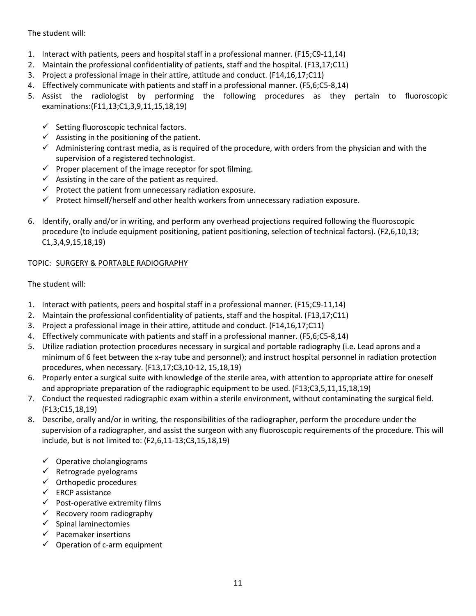The student will:

- 1. Interact with patients, peers and hospital staff in a professional manner. (F15;C9-11,14)
- 2. Maintain the professional confidentiality of patients, staff and the hospital. (F13,17;C11)
- 3. Project a professional image in their attire, attitude and conduct. (F14,16,17;C11)
- 4. Effectively communicate with patients and staff in a professional manner. (F5,6;C5-8,14)
- 5. Assist the radiologist by performing the following procedures as they pertain to fluoroscopic examinations:(F11,13;C1,3,9,11,15,18,19)
	- $\checkmark$  Setting fluoroscopic technical factors.
	- $\checkmark$  Assisting in the positioning of the patient.
	- $\checkmark$  Administering contrast media, as is required of the procedure, with orders from the physician and with the supervision of a registered technologist.
	- $\checkmark$  Proper placement of the image receptor for spot filming.
	- $\checkmark$  Assisting in the care of the patient as required.
	- $\checkmark$  Protect the patient from unnecessary radiation exposure.
	- $\checkmark$  Protect himself/herself and other health workers from unnecessary radiation exposure.
- 6. Identify, orally and/or in writing, and perform any overhead projections required following the fluoroscopic procedure (to include equipment positioning, patient positioning, selection of technical factors). (F2,6,10,13; C1,3,4,9,15,18,19)

# TOPIC: SURGERY & PORTABLE RADIOGRAPHY

The student will:

- 1. Interact with patients, peers and hospital staff in a professional manner. (F15;C9-11,14)
- 2. Maintain the professional confidentiality of patients, staff and the hospital. (F13,17;C11)
- 3. Project a professional image in their attire, attitude and conduct. (F14,16,17;C11)
- 4. Effectively communicate with patients and staff in a professional manner. (F5,6;C5-8,14)
- 5. Utilize radiation protection procedures necessary in surgical and portable radiography (i.e. Lead aprons and a minimum of 6 feet between the x-ray tube and personnel); and instruct hospital personnel in radiation protection procedures, when necessary. (F13,17;C3,10-12, 15,18,19)
- 6. Properly enter a surgical suite with knowledge of the sterile area, with attention to appropriate attire for oneself and appropriate preparation of the radiographic equipment to be used. (F13;C3,5,11,15,18,19)
- 7. Conduct the requested radiographic exam within a sterile environment, without contaminating the surgical field. (F13;C15,18,19)
- 8. Describe, orally and/or in writing, the responsibilities of the radiographer, perform the procedure under the supervision of a radiographer, and assist the surgeon with any fluoroscopic requirements of the procedure. This will include, but is not limited to: (F2,6,11-13;C3,15,18,19)
	- $\checkmark$  Operative cholangiograms
	- $\checkmark$  Retrograde pyelograms
	- $\checkmark$  Orthopedic procedures
	- $\checkmark$  ERCP assistance
	- $\checkmark$  Post-operative extremity films
	- $\checkmark$  Recovery room radiography
	- $\checkmark$  Spinal laminectomies
	- $\checkmark$  Pacemaker insertions
	- $\checkmark$  Operation of c-arm equipment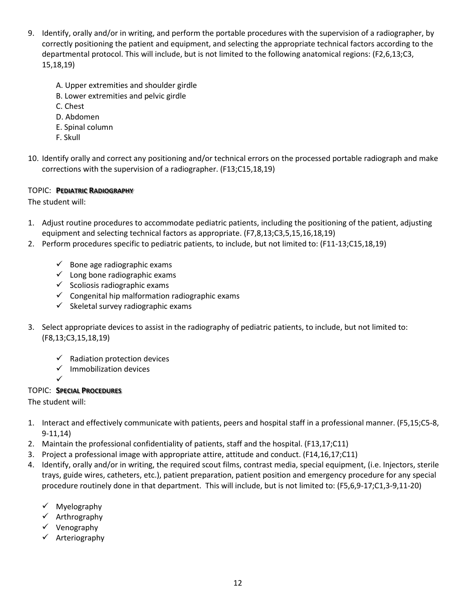- 9. Identify, orally and/or in writing, and perform the portable procedures with the supervision of a radiographer, by correctly positioning the patient and equipment, and selecting the appropriate technical factors according to the departmental protocol. This will include, but is not limited to the following anatomical regions: (F2,6,13;C3, 15,18,19)
	- A. Upper extremities and shoulder girdle
	- B. Lower extremities and pelvic girdle
	- C. Chest
	- D. Abdomen
	- E. Spinal column
	- F. Skull
- 10. Identify orally and correct any positioning and/or technical errors on the processed portable radiograph and make corrections with the supervision of a radiographer. (F13;C15,18,19)

# TOPIC: **PEDIATRIC RADIOGRAPHY**

The student will:

- 1. Adjust routine procedures to accommodate pediatric patients, including the positioning of the patient, adjusting equipment and selecting technical factors as appropriate. (F7,8,13;C3,5,15,16,18,19)
- 2. Perform procedures specific to pediatric patients, to include, but not limited to: (F11-13;C15,18,19)
	- $\checkmark$  Bone age radiographic exams
	- $\checkmark$  Long bone radiographic exams
	- $\checkmark$  Scoliosis radiographic exams
	- $\checkmark$  Congenital hip malformation radiographic exams
	- $\checkmark$  Skeletal survey radiographic exams
- 3. Select appropriate devices to assist in the radiography of pediatric patients, to include, but not limited to: (F8,13;C3,15,18,19)
	- $\checkmark$  Radiation protection devices
	- $\checkmark$  Immobilization devices
	- $\checkmark$

# TOPIC: **SPECIAL PROCEDURES**

The student will:

- 1. Interact and effectively communicate with patients, peers and hospital staff in a professional manner. (F5,15;C5-8, 9-11,14)
- 2. Maintain the professional confidentiality of patients, staff and the hospital. (F13,17;C11)
- 3. Project a professional image with appropriate attire, attitude and conduct. (F14,16,17;C11)
- 4. Identify, orally and/or in writing, the required scout films, contrast media, special equipment, (i.e. Injectors, sterile trays, guide wires, catheters, etc.), patient preparation, patient position and emergency procedure for any special procedure routinely done in that department. This will include, but is not limited to: (F5,6,9-17;C1,3-9,11-20)
	- $\checkmark$  Myelography
	- $\checkmark$  Arthrography
	- $\checkmark$  Venography
	- Arteriography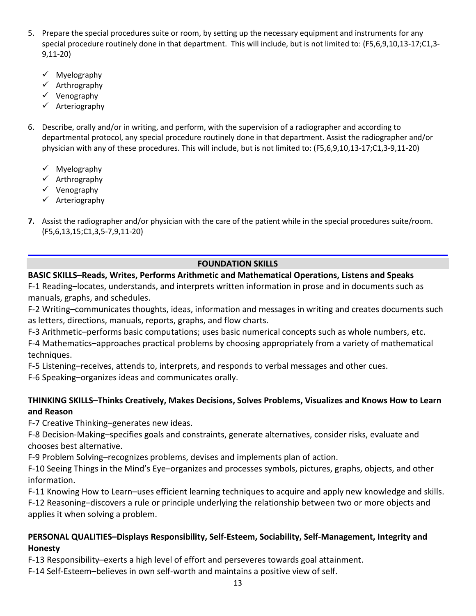- 5. Prepare the special procedures suite or room, by setting up the necessary equipment and instruments for any special procedure routinely done in that department. This will include, but is not limited to: (F5,6,9,10,13-17;C1,3- 9,11-20)
	- $\checkmark$  Myelography
	- $\checkmark$  Arthrography
	- $\checkmark$  Venography
	- $\checkmark$  Arteriography
- 6. Describe, orally and/or in writing, and perform, with the supervision of a radiographer and according to departmental protocol, any special procedure routinely done in that department. Assist the radiographer and/or physician with any of these procedures. This will include, but is not limited to: (F5,6,9,10,13-17;C1,3-9,11-20)
	- $\checkmark$  Myelography
	- $\checkmark$  Arthrography
	- $\checkmark$  Venography
	- $\checkmark$  Arteriography
- **7.** Assist the radiographer and/or physician with the care of the patient while in the special procedures suite/room. (F5,6,13,15;C1,3,5-7,9,11-20)

# **FOUNDATION SKILLS**

# **BASIC SKILLS–Reads, Writes, Performs Arithmetic and Mathematical Operations, Listens and Speaks**

F-1 Reading–locates, understands, and interprets written information in prose and in documents such as manuals, graphs, and schedules.

F-2 Writing–communicates thoughts, ideas, information and messages in writing and creates documents such as letters, directions, manuals, reports, graphs, and flow charts.

F-3 Arithmetic–performs basic computations; uses basic numerical concepts such as whole numbers, etc.

F-4 Mathematics–approaches practical problems by choosing appropriately from a variety of mathematical techniques.

F-5 Listening–receives, attends to, interprets, and responds to verbal messages and other cues.

F-6 Speaking–organizes ideas and communicates orally.

# **THINKING SKILLS–Thinks Creatively, Makes Decisions, Solves Problems, Visualizes and Knows How to Learn and Reason**

F-7 Creative Thinking–generates new ideas.

F-8 Decision-Making–specifies goals and constraints, generate alternatives, consider risks, evaluate and chooses best alternative.

F-9 Problem Solving–recognizes problems, devises and implements plan of action.

F-10 Seeing Things in the Mind's Eye–organizes and processes symbols, pictures, graphs, objects, and other information.

F-11 Knowing How to Learn–uses efficient learning techniques to acquire and apply new knowledge and skills.

F-12 Reasoning–discovers a rule or principle underlying the relationship between two or more objects and applies it when solving a problem.

# **PERSONAL QUALITIES–Displays Responsibility, Self-Esteem, Sociability, Self-Management, Integrity and Honesty**

F-13 Responsibility–exerts a high level of effort and perseveres towards goal attainment.

F-14 Self-Esteem–believes in own self-worth and maintains a positive view of self.